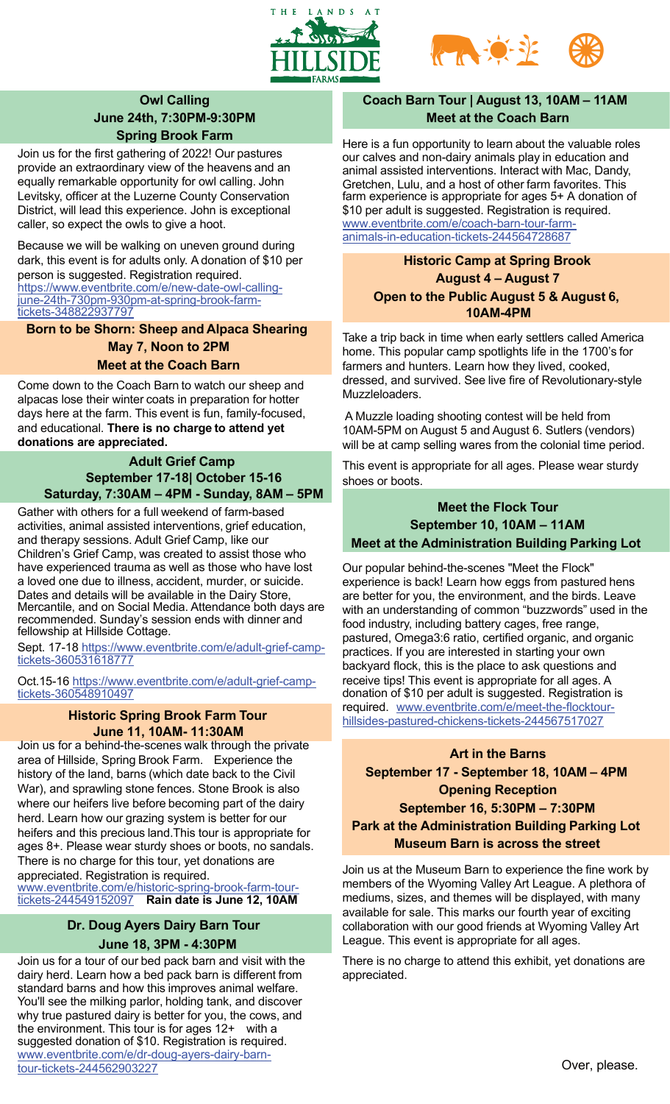



# **Owl Calling June 24th, 7:30PM-9:30PM Spring Brook Farm**

Join us for the first gathering of 2022! Our pastures provide an extraordinary view of the heavens and an equally remarkable opportunity for owl calling. John Levitsky, officer at the Luzerne County Conservation District, will lead this experience. John is exceptional caller, so expect the owls to give a hoot.

Because we will be walking on uneven ground during dark, this event is for adults only. A donation of \$10 per person is suggested. Registration required. [https://www.eventbrite.com/e/new-date-owl-calling](https://www.eventbrite.com/e/new-date-owl-calling-june-24th-730pm-930pm-at-spring-brook-farm-tickets-348822937797)[june-24th-730pm-930pm-at-spring-brook-farm](https://www.eventbrite.com/e/new-date-owl-calling-june-24th-730pm-930pm-at-spring-brook-farm-tickets-348822937797)[tickets-348822937797](https://www.eventbrite.com/e/new-date-owl-calling-june-24th-730pm-930pm-at-spring-brook-farm-tickets-348822937797)

**Born to be Shorn: Sheep and Alpaca Shearing May 7, Noon to 2PM Meet at the Coach Barn**

Come down to the Coach Barn to watch our sheep and alpacas lose their winter coats in preparation for hotter days here at the farm. This event is fun, family-focused, and educational. **There is no charge to attend yet donations are appreciated.**

## **Adult Grief Camp September 17-18| October 15-16 Saturday, 7:30AM – 4PM - Sunday, 8AM – 5PM**

Gather with others for a full weekend of farm-based activities, animal assisted interventions, grief education, and therapy sessions. Adult Grief Camp, like our Children's Grief Camp, was created to assist those who have experienced trauma as well as those who have lost a loved one due to illness, accident, murder, or suicide. Dates and details will be available in the Dairy Store, Mercantile, and on Social Media. Attendance both days are recommended. Sunday's session ends with dinner and fellowship at Hillside Cottage.

Sept. 17-18 [https://www.eventbrite.com/e/adult-grief-camp](https://www.eventbrite.com/e/adult-grief-camp-tickets-360531618777)[tickets-360531618777](https://www.eventbrite.com/e/adult-grief-camp-tickets-360531618777)

Oct.15-16 [https://www.eventbrite.com/e/adult-grief-camp](https://www.eventbrite.com/e/adult-grief-camp-tickets-360548910497)[tickets-360548910497](https://www.eventbrite.com/e/adult-grief-camp-tickets-360548910497)

## **Historic Spring Brook Farm Tour June 11, 10AM- 11:30AM**

Join us for a behind-the-scenes walk through the private area of Hillside, Spring Brook Farm. Experience the history of the land, barns (which date back to the Civil War), and sprawling stone fences. Stone Brook is also where our heifers live before becoming part of the dairy herd. Learn how our grazing system is better for our heifers and this precious land.This tour is appropriate for ages 8+. Please wear sturdy shoes or boots, no sandals. There is no charge for this tour, yet donations are appreciated. Registration is required.

[www.eventbrite.com/e/historic-spring-brook-farm-tour](https://www.eventbrite.com/e/historic-spring-brook-farm-tour-tickets-244549152097)[tickets-244549152097](https://www.eventbrite.com/e/historic-spring-brook-farm-tour-tickets-244549152097) **Rain date is June 12, 10AM**

# **Dr. Doug Ayers Dairy Barn Tour June 18, 3PM - 4:30PM**

Join us for a tour of our bed pack barn and visit with the dairy herd. Learn how a bed pack barn is different from standard barns and how this improves animal welfare. You'll see the milking parlor, holding tank, and discover why true pastured dairy is better for you, the cows, and the environment. This tour is for ages 12+ with a suggested donation of \$10. Registration is required. [www.eventbrite.com/e/dr-doug-ayers-dairy-barn](https://www.eventbrite.com/e/dr-doug-ayers-dairy-barn-tour-tickets-244562903227)[tour-tickets-244562903227](https://www.eventbrite.com/e/dr-doug-ayers-dairy-barn-tour-tickets-244562903227)

# **Coach Barn Tour | August 13, 10AM – 11AM Meet at the Coach Barn**

Here is a fun opportunity to learn about the valuable roles our calves and non-dairy animals play in education and animal assisted interventions. Interact with Mac, Dandy, Gretchen, Lulu, and a host of other farm favorites. This farm experience is appropriate for ages 5+ A donation of \$10 per adult is suggested. Registration is required. [www.eventbrite.com/e/coach-barn-tour-farm](https://www.eventbrite.com/e/coach-barn-tour-farm-animals-in-education-tickets-244564728687)[animals-in-education-tickets-244564728687](https://www.eventbrite.com/e/coach-barn-tour-farm-animals-in-education-tickets-244564728687)

## **Historic Camp at Spring Brook August 4 – August 7 Open to the Public August 5 & August 6, 10AM-4PM**

Take a trip back in time when early settlers called America home. This popular camp spotlights life in the 1700's for farmers and hunters. Learn how they lived, cooked, dressed, and survived. See live fire of Revolutionary-style Muzzleloaders.

A Muzzle loading shooting contest will be held from 10AM-5PM on August 5 and August 6. Sutlers (vendors) will be at camp selling wares from the colonial time period.

This event is appropriate for all ages. Please wear sturdy shoes or boots.

## **Meet the Flock Tour September 10, 10AM – 11AM Meet at the Administration Building Parking Lot**

Our popular behind-the-scenes "Meet the Flock" experience is back! Learn how eggs from pastured hens are better for you, the environment, and the birds. Leave with an understanding of common "buzzwords" used in the food industry, including battery cages, free range, pastured, Omega3:6 ratio, certified organic, and organic practices. If you are interested in starting your own backyard flock, this is the place to ask questions and receive tips! This event is appropriate for all ages. A donation of \$10 per adult is suggested. Registration is required. [www.eventbrite.com/e/meet-the-flocktour](https://www.eventbrite.com/e/meet-the-flocktour-hillsides-pastured-chickens-tickets-244567517027)[hillsides-pastured-chickens-tickets-244567517027](https://www.eventbrite.com/e/meet-the-flocktour-hillsides-pastured-chickens-tickets-244567517027)

# **Art in the Barns September 17 - September 18, 10AM – 4PM Opening Reception September 16, 5:30PM – 7:30PM Park at the Administration Building Parking Lot Museum Barn is across the street**

Join us at the Museum Barn to experience the fine work by members of the Wyoming Valley Art League. A plethora of mediums, sizes, and themes will be displayed, with many available for sale. This marks our fourth year of exciting collaboration with our good friends at Wyoming Valley Art League. This event is appropriate for all ages.

There is no charge to attend this exhibit, yet donations are appreciated.